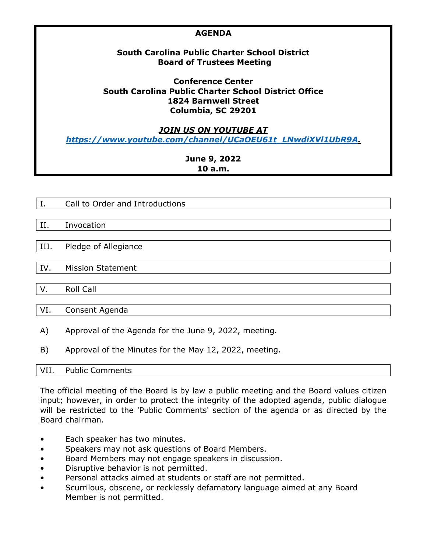| <b>AGENDA</b>                                             |
|-----------------------------------------------------------|
| South Carolina Public Charter School District             |
| <b>Board of Trustees Meeting</b>                          |
| <b>Conference Center</b>                                  |
| South Carolina Public Charter School District Office      |
| <b>1824 Barnwell Street</b>                               |
| Columbia, SC 29201                                        |
| <i><b>JOIN US ON YOUTUBE AT</b></i>                       |
| https://www.youtube.com/channel/UCaOEU61t_LNwdiXVI1UbR9A. |
| June 9, 2022                                              |
| 10a.m.                                                    |

- I. Call to Order and Introductions
- II. Invocation

III. Pledge of Allegiance

IV. Mission Statement

V. Roll Call

VI. Consent Agenda

- A) Approval of the Agenda for the June 9, 2022, meeting.
- B) Approval of the Minutes for the May 12, 2022, meeting.

VII. Public Comments

The official meeting of the Board is by law a public meeting and the Board values citizen input; however, in order to protect the integrity of the adopted agenda, public dialogue will be restricted to the 'Public Comments' section of the agenda or as directed by the Board chairman.

- Each speaker has two minutes.
- Speakers may not ask questions of Board Members.
- Board Members may not engage speakers in discussion.
- Disruptive behavior is not permitted.
- Personal attacks aimed at students or staff are not permitted.
- Scurrilous, obscene, or recklessly defamatory language aimed at any Board Member is not permitted.